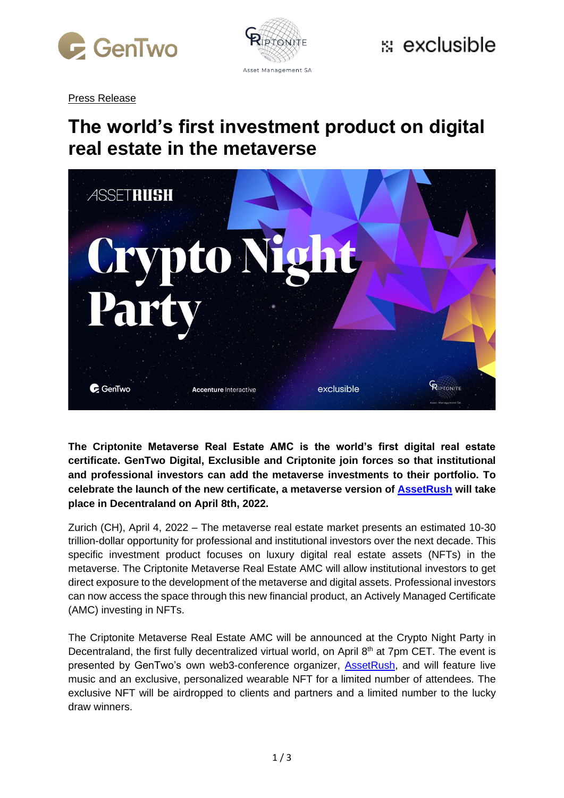



Press Release

### **The world's first investment product on digital real estate in the metaverse**



**The Criptonite Metaverse Real Estate AMC is the world's first digital real estate certificate. GenTwo Digital, Exclusible and Criptonite join forces so that institutional and professional investors can add the metaverse investments to their portfolio. To celebrate the launch of the new certificate, a metaverse version of [AssetRush](https://www.assetrush.com/events/metaverse/index.html) will take place in Decentraland on April 8th, 2022.** 

Zurich (CH), April 4, 2022 – The metaverse real estate market presents an estimated 10-30 trillion-dollar opportunity for professional and institutional investors over the next decade. This specific investment product focuses on luxury digital real estate assets (NFTs) in the metaverse. The Criptonite Metaverse Real Estate AMC will allow institutional investors to get direct exposure to the development of the metaverse and digital assets. Professional investors can now access the space through this new financial product, an Actively Managed Certificate (AMC) investing in NFTs.

The Criptonite Metaverse Real Estate AMC will be announced at the Crypto Night Party in Decentraland, the first fully decentralized virtual world, on April  $8<sup>th</sup>$  at 7pm CET. The event is presented by GenTwo's own web3-conference organizer, [AssetRush,](https://www.assetrush.com/events/metaverse/index.html) and will feature live music and an exclusive, personalized wearable NFT for a limited number of attendees. The exclusive NFT will be airdropped to clients and partners and a limited number to the lucky draw winners.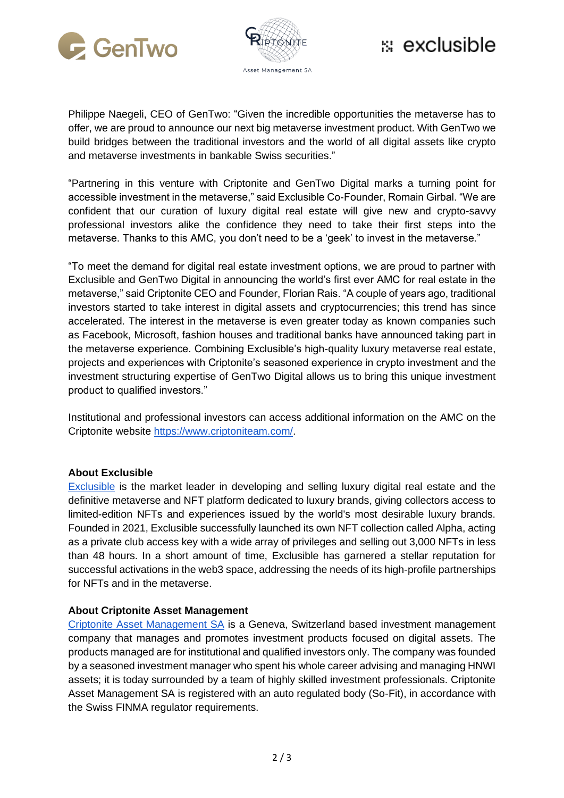



## $\ddot{\mathbf{z}}$  exclusible

Philippe Naegeli, CEO of GenTwo: "Given the incredible opportunities the metaverse has to offer, we are proud to announce our next big metaverse investment product. With GenTwo we build bridges between the traditional investors and the world of all digital assets like crypto and metaverse investments in bankable Swiss securities."

"Partnering in this venture with Criptonite and GenTwo Digital marks a turning point for accessible investment in the metaverse," said Exclusible Co-Founder, Romain Girbal. "We are confident that our curation of luxury digital real estate will give new and crypto-savvy professional investors alike the confidence they need to take their first steps into the metaverse. Thanks to this AMC, you don't need to be a 'geek' to invest in the metaverse."

"To meet the demand for digital real estate investment options, we are proud to partner with Exclusible and GenTwo Digital in announcing the world's first ever AMC for real estate in the metaverse," said Criptonite CEO and Founder, Florian Rais. "A couple of years ago, traditional investors started to take interest in digital assets and cryptocurrencies; this trend has since accelerated. The interest in the metaverse is even greater today as known companies such as Facebook, Microsoft, fashion houses and traditional banks have announced taking part in the metaverse experience. Combining Exclusible's high-quality luxury metaverse real estate, projects and experiences with Criptonite's seasoned experience in crypto investment and the investment structuring expertise of GenTwo Digital allows us to bring this unique investment product to qualified investors."

Institutional and professional investors can access additional information on the AMC on the Criptonite website [https://www.criptoniteam.com/.](https://www.criptoniteam.com/)

#### **About Exclusible**

[Exclusible](https://exclusible.com/) is the market leader in developing and selling luxury digital real estate and the definitive metaverse and NFT platform dedicated to luxury brands, giving collectors access to limited-edition NFTs and experiences issued by the world's most desirable luxury brands. Founded in 2021, Exclusible successfully launched its own NFT collection called Alpha, acting as a private club access key with a wide array of privileges and selling out 3,000 NFTs in less than 48 hours. In a short amount of time, Exclusible has garnered a stellar reputation for successful activations in the web3 space, addressing the needs of its high-profile partnerships for NFTs and in the metaverse.

#### **About Criptonite Asset Management**

[Criptonite Asset Management SA](https://www.criptoniteam.com/) is a Geneva, Switzerland based investment management company that manages and promotes investment products focused on digital assets. The products managed are for institutional and qualified investors only. The company was founded by a seasoned investment manager who spent his whole career advising and managing HNWI assets; it is today surrounded by a team of highly skilled investment professionals. Criptonite Asset Management SA is registered with an auto regulated body (So-Fit), in accordance with the Swiss FINMA regulator requirements.